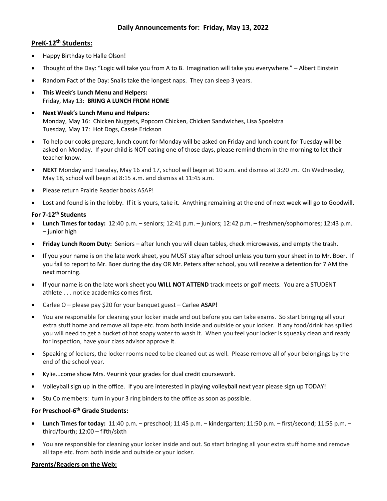# **Daily Announcements for: Friday, May 13, 2022**

# **PreK-12th Students:**

- Happy Birthday to Halle Olson!
- Thought of the Day: "Logic will take you from A to B. Imagination will take you everywhere." Albert Einstein
- Random Fact of the Day: Snails take the longest naps. They can sleep 3 years.
- **This Week's Lunch Menu and Helpers:** Friday, May 13: **BRING A LUNCH FROM HOME**
- **Next Week's Lunch Menu and Helpers:** Monday, May 16: Chicken Nuggets, Popcorn Chicken, Chicken Sandwiches, Lisa Spoelstra Tuesday, May 17: Hot Dogs, Cassie Erickson
- To help our cooks prepare, lunch count for Monday will be asked on Friday and lunch count for Tuesday will be asked on Monday. If your child is NOT eating one of those days, please remind them in the morning to let their teacher know.
- **NEXT** Monday and Tuesday, May 16 and 17, school will begin at 10 a.m. and dismiss at 3:20 .m. On Wednesday, May 18, school will begin at 8:15 a.m. and dismiss at 11:45 a.m.
- Please return Prairie Reader books ASAP!
- Lost and found is in the lobby. If it is yours, take it. Anything remaining at the end of next week will go to Goodwill.

#### **For 7-12th Students**

- **Lunch Times for today:** 12:40 p.m. seniors; 12:41 p.m. juniors; 12:42 p.m. freshmen/sophomores; 12:43 p.m. – junior high
- **Friday Lunch Room Duty:** Seniors after lunch you will clean tables, check microwaves, and empty the trash.
- If you your name is on the late work sheet, you MUST stay after school unless you turn your sheet in to Mr. Boer. If you fail to report to Mr. Boer during the day OR Mr. Peters after school, you will receive a detention for 7 AM the next morning.
- If your name is on the late work sheet you **WILL NOT ATTEND** track meets or golf meets. You are a STUDENT athlete . . . notice academics comes first.
- Carlee O please pay \$20 for your banquet guest Carlee **ASAP!**
- You are responsible for cleaning your locker inside and out before you can take exams. So start bringing all your extra stuff home and remove all tape etc. from both inside and outside or your locker. If any food/drink has spilled you will need to get a bucket of hot soapy water to wash it. When you feel your locker is squeaky clean and ready for inspection, have your class advisor approve it.
- Speaking of lockers, the locker rooms need to be cleaned out as well. Please remove all of your belongings by the end of the school year.
- Kylie...come show Mrs. Veurink your grades for dual credit coursework.
- Volleyball sign up in the office. If you are interested in playing volleyball next year please sign up TODAY!
- Stu Co members: turn in your 3 ring binders to the office as soon as possible.

## **For Preschool-6 th Grade Students:**

- **Lunch Times for today:** 11:40 p.m. preschool; 11:45 p.m. kindergarten; 11:50 p.m. first/second; 11:55 p.m. third/fourth; 12:00 – fifth/sixth
- You are responsible for cleaning your locker inside and out. So start bringing all your extra stuff home and remove all tape etc. from both inside and outside or your locker.

### **Parents/Readers on the Web:**